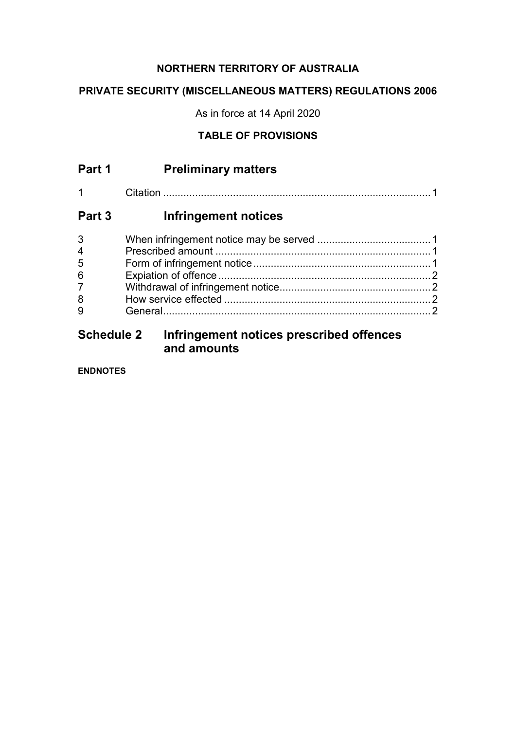#### **NORTHERN TERRITORY OF AUSTRALIA**

## **PRIVATE SECURITY (MISCELLANEOUS MATTERS) REGULATIONS 2006**

As in force at 14 April 2020

## **TABLE OF PROVISIONS**

| Part 1         | <b>Preliminary matters</b>               |  |
|----------------|------------------------------------------|--|
|                |                                          |  |
| Part 3         | Infringement notices                     |  |
| 3              |                                          |  |
| $\overline{4}$ |                                          |  |
| 5              |                                          |  |
| 6              |                                          |  |
| $\overline{7}$ |                                          |  |
| 8              |                                          |  |
| 9              |                                          |  |
| Schodulo 2     | Infringement notices prescribed offenses |  |

# **Schedule 2 Infringement notices prescribed offences and amounts**

**ENDNOTES**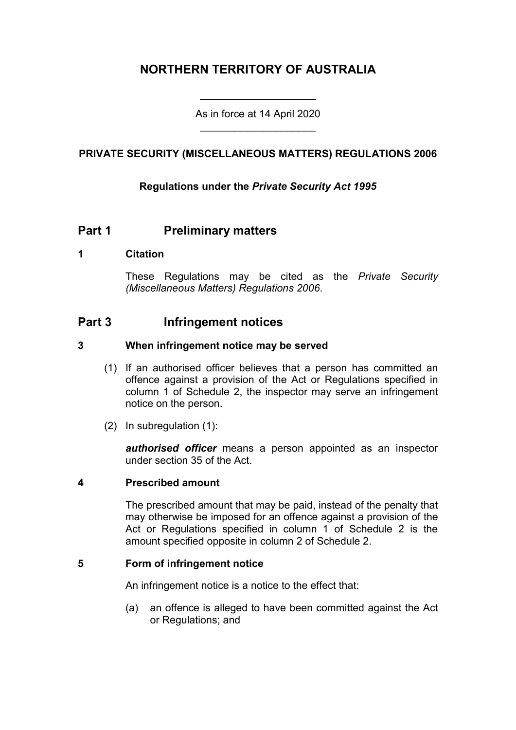# **NORTHERN TERRITORY OF AUSTRALIA**

As in force at 14 April 2020 \_\_\_\_\_\_\_\_\_\_\_\_\_\_\_\_\_\_\_\_

\_\_\_\_\_\_\_\_\_\_\_\_\_\_\_\_\_\_\_\_

#### **PRIVATE SECURITY (MISCELLANEOUS MATTERS) REGULATIONS 2006**

#### **Regulations under the** *Private Security Act 1995*

### **Part 1 Preliminary matters**

#### **1 Citation**

These Regulations may be cited as the *Private Security (Miscellaneous Matters) Regulations 2006*.

### **Part 3 Infringement notices**

#### **3 When infringement notice may be served**

- (1) If an authorised officer believes that a person has committed an offence against a provision of the Act or Regulations specified in column 1 of Schedule 2, the inspector may serve an infringement notice on the person.
- (2) In subregulation (1):

*authorised officer* means a person appointed as an inspector under section 35 of the Act.

#### **4 Prescribed amount**

The prescribed amount that may be paid, instead of the penalty that may otherwise be imposed for an offence against a provision of the Act or Regulations specified in column 1 of Schedule 2 is the amount specified opposite in column 2 of Schedule 2.

#### **5 Form of infringement notice**

An infringement notice is a notice to the effect that:

(a) an offence is alleged to have been committed against the Act or Regulations; and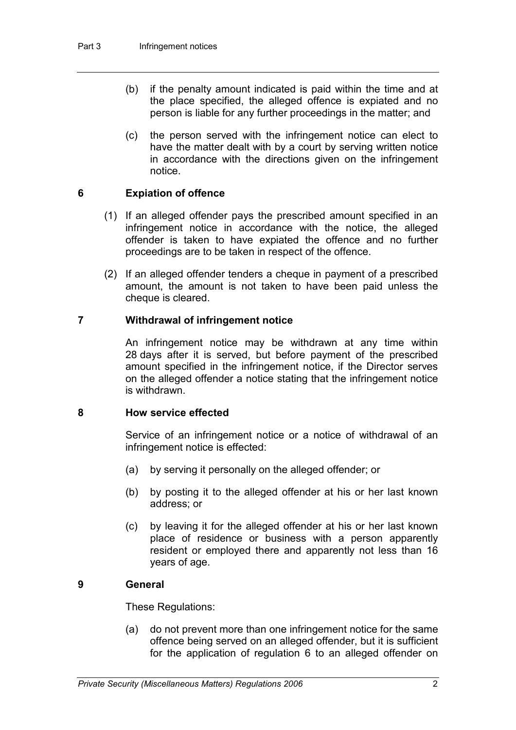- (b) if the penalty amount indicated is paid within the time and at the place specified, the alleged offence is expiated and no person is liable for any further proceedings in the matter; and
- (c) the person served with the infringement notice can elect to have the matter dealt with by a court by serving written notice in accordance with the directions given on the infringement notice.

#### **6 Expiation of offence**

- (1) If an alleged offender pays the prescribed amount specified in an infringement notice in accordance with the notice, the alleged offender is taken to have expiated the offence and no further proceedings are to be taken in respect of the offence.
- (2) If an alleged offender tenders a cheque in payment of a prescribed amount, the amount is not taken to have been paid unless the cheque is cleared.

#### **7 Withdrawal of infringement notice**

An infringement notice may be withdrawn at any time within 28 days after it is served, but before payment of the prescribed amount specified in the infringement notice, if the Director serves on the alleged offender a notice stating that the infringement notice is withdrawn.

#### **8 How service effected**

Service of an infringement notice or a notice of withdrawal of an infringement notice is effected:

- (a) by serving it personally on the alleged offender; or
- (b) by posting it to the alleged offender at his or her last known address; or
- (c) by leaving it for the alleged offender at his or her last known place of residence or business with a person apparently resident or employed there and apparently not less than 16 years of age.

#### **9 General**

These Regulations:

(a) do not prevent more than one infringement notice for the same offence being served on an alleged offender, but it is sufficient for the application of regulation 6 to an alleged offender on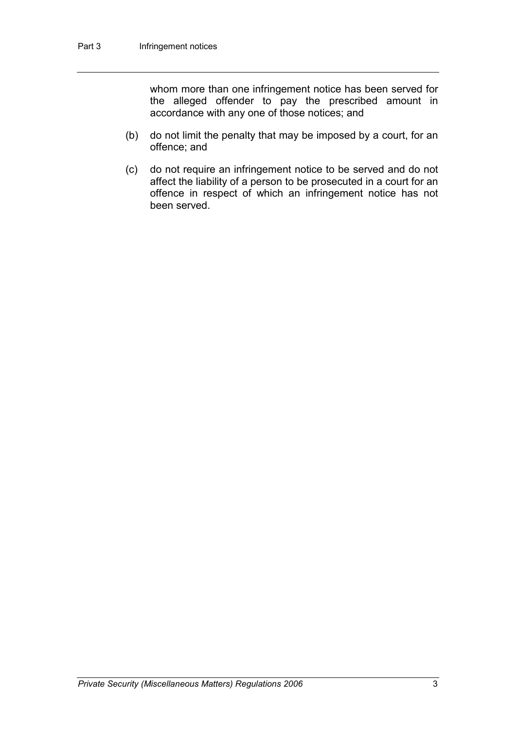whom more than one infringement notice has been served for the alleged offender to pay the prescribed amount in accordance with any one of those notices; and

- (b) do not limit the penalty that may be imposed by a court, for an offence; and
- (c) do not require an infringement notice to be served and do not affect the liability of a person to be prosecuted in a court for an offence in respect of which an infringement notice has not been served.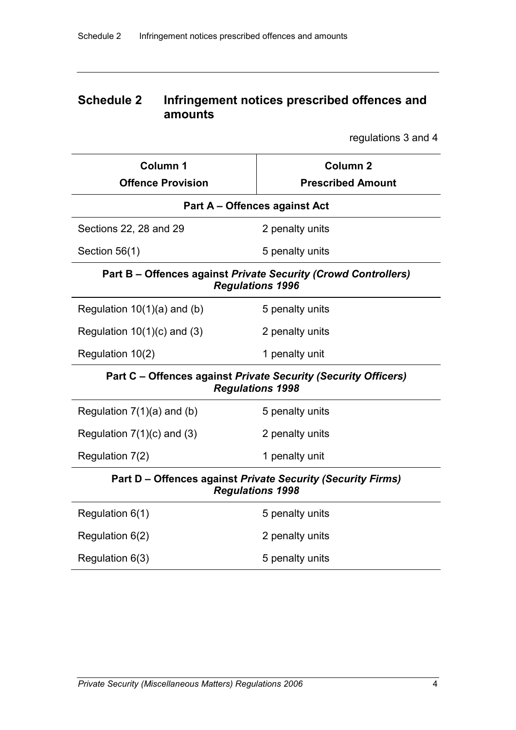# **Schedule 2 Infringement notices prescribed offences and amounts**

regulations 3 and 4

| Column 1<br><b>Offence Provision</b>                                                      | Column <sub>2</sub><br><b>Prescribed Amount</b> |  |  |  |  |
|-------------------------------------------------------------------------------------------|-------------------------------------------------|--|--|--|--|
| Part A – Offences against Act                                                             |                                                 |  |  |  |  |
| Sections 22, 28 and 29                                                                    | 2 penalty units                                 |  |  |  |  |
| Section 56(1)                                                                             | 5 penalty units                                 |  |  |  |  |
| Part B - Offences against Private Security (Crowd Controllers)<br><b>Regulations 1996</b> |                                                 |  |  |  |  |
| Regulation $10(1)(a)$ and (b)                                                             | 5 penalty units                                 |  |  |  |  |
| Regulation $10(1)(c)$ and (3)                                                             | 2 penalty units                                 |  |  |  |  |
| Regulation 10(2)                                                                          | 1 penalty unit                                  |  |  |  |  |
| Part C - Offences against Private Security (Security Officers)<br><b>Regulations 1998</b> |                                                 |  |  |  |  |
| Regulation $7(1)(a)$ and (b)                                                              | 5 penalty units                                 |  |  |  |  |
| Regulation $7(1)(c)$ and $(3)$                                                            | 2 penalty units                                 |  |  |  |  |
| Regulation 7(2)                                                                           | 1 penalty unit                                  |  |  |  |  |
| Part D - Offences against Private Security (Security Firms)<br><b>Regulations 1998</b>    |                                                 |  |  |  |  |
| Regulation 6(1)                                                                           | 5 penalty units                                 |  |  |  |  |
| Regulation 6(2)                                                                           | 2 penalty units                                 |  |  |  |  |
| Regulation 6(3)                                                                           | 5 penalty units                                 |  |  |  |  |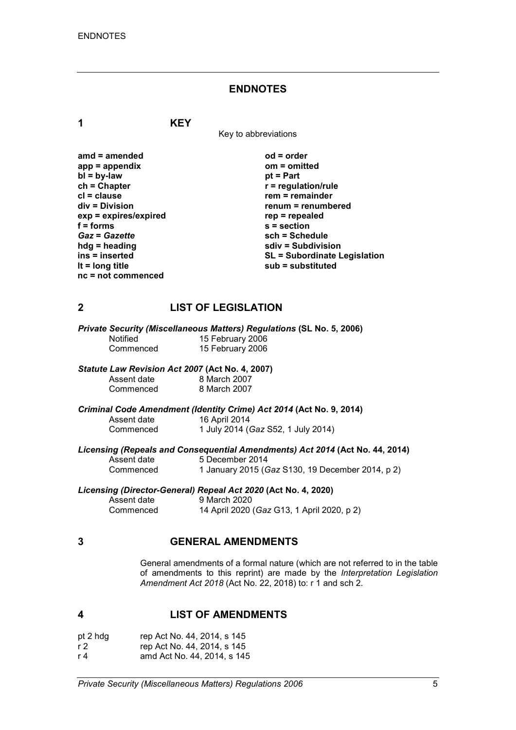#### **ENDNOTES**

**1 KEY**

Key to abbreviations

| $amd = amended$         | $od = order$                        |
|-------------------------|-------------------------------------|
| $app = appendix$        | om = omitted                        |
| $bl = by-law$           | $pt = Part$                         |
| $ch = Chapter$          | $r =$ regulation/rule               |
| $cl = clause$           | $rem = remainder$                   |
| div = Division          | renum = renumbered                  |
| $exp = expires/expired$ | $rep = repeated$                    |
| $f =$ forms             | $s = section$                       |
| <b>Gaz = Gazette</b>    | sch = Schedule                      |
| $hdg =$ heading         | sdiv = Subdivision                  |
| ins = inserted          | <b>SL = Subordinate Legislation</b> |
| It = $long$ title       | sub = substituted                   |
| $nc = not$ commenced    |                                     |

#### **2 LIST OF LEGISLATION**

*Private Security (Miscellaneous Matters) Regulations* **(SL No. 5, 2006)**

Notified 15 February 2006<br>
Commenced 15 February 2006 15 February 2006

# *Statute Law Revision Act 2007* **(Act No. 4, 2007)**

Assent date 8 March 2007<br>Commenced 8 March 2007 8 March 2007

*Criminal Code Amendment (Identity Crime) Act 2014* **(Act No. 9, 2014)**

Assent date 16 April 2014<br>Commenced 1 July 2014 ( Commenced 1 July 2014 (*Gaz* S52, 1 July 2014)

*Licensing (Repeals and Consequential Amendments) Act 2014* **(Act No. 44, 2014)**

Assent date 5 December 2014<br>Commenced 1 January 2015 (G Commenced 1 January 2015 (*Gaz* S130, 19 December 2014, p 2)

# *Licensing (Director-General) Repeal Act 2020* **(Act No. 4, 2020)**

Assent date 9 March 2020<br>Commenced 14 April 2020 Commenced 14 April 2020 (*Gaz* G13, 1 April 2020, p 2)

#### **3 GENERAL AMENDMENTS**

General amendments of a formal nature (which are not referred to in the table of amendments to this reprint) are made by the *Interpretation Legislation Amendment Act 2018* (Act No. 22, 2018) to: r 1 and sch 2.

#### **4 LIST OF AMENDMENTS**

| pt 2 hdg | rep Act No. 44, 2014, s 145 |
|----------|-----------------------------|
| r 2      | rep Act No. 44, 2014, s 145 |
| r 4      | amd Act No. 44, 2014, s 145 |